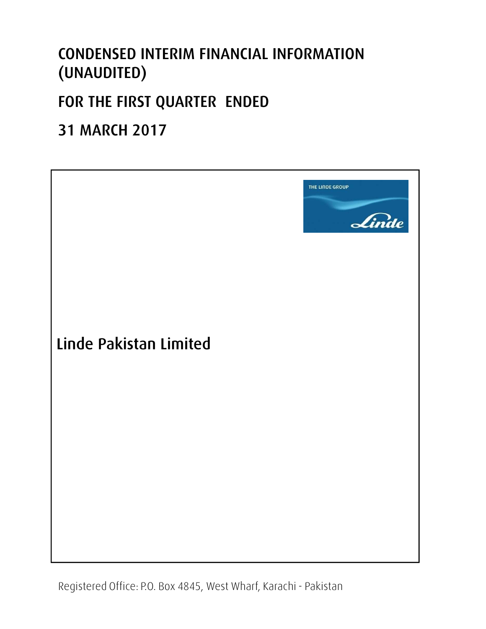## **CONDENSED INTERIM FINANCIAL INFORMATION (UNAUDITED)**

## **FOR THE FIRST QUARTER ENDED**

## **31 MARCH 2017**



Office **DO** Bay 4945 We  $\therefore$  P.O. Box 484 arachi Dakistan Registered Office: P.O. Box 4845, West Wharf, Karachi - Pakistan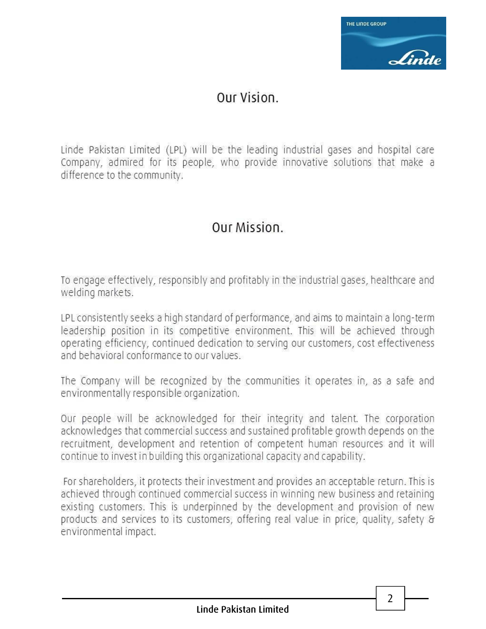

### Our Vision.

Linde Pakistan Limited (LPL) will be the leading industrial gases and hospital care Company, admired for its people, who provide innovative solutions that make a difference to the community.

### Our Mission.

To engage effectively, responsibly and profitably in the industrial gases, healthcare and welding markets.

LPL consistently seeks a high standard of performance, and aims to maintain a long-term leadership position in its competitive environment. This will be achieved through operating efficiency, continued dedication to serving our customers, cost effectiveness and behavioral conformance to our values.

The Company will be recognized by the communities it operates in, as a safe and environmentally responsible organization.

Our people will be acknowledged for their integrity and talent. The corporation acknowledges that commercial success and sustained profitable growth depends on the recruitment, development and retention of competent human resources and it will continue to invest in building this organizational capacity and capability.

For shareholders, it protects their investment and provides an acceptable return. This is achieved through continued commercial success in winning new business and retaining existing customers. This is underpinned by the development and provision of new products and services to its customers, offering real value in price, quality, safety & environmental impact.

 $\overline{2}$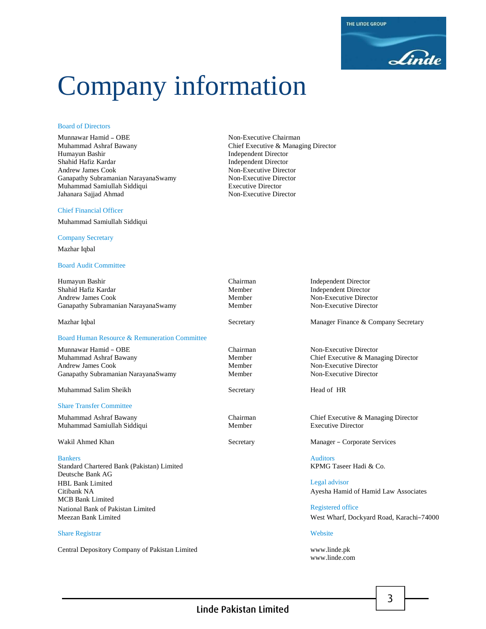# Company information

#### Board of Directors

Munnawar Hamid – OBE Non-Executive Chairman Muhammad Ashraf Bawany Chief Executive & Managing Director Humayun Bashir Independent Director Shahid Hafiz Kardar **Independent Director** Andrew James Cook **Independent Director** Ganapathy Subramanian NarayanaSwamy Muhammad Samiullah Siddiqui Executive Director Jahanara Sajjad Ahmad

#### Chief Financial Officer

Muhammad Samiullah Siddiqui

#### Company Secretary

Mazhar Iqbal

#### Board Audit Committee

| Humayun Bashir<br>Shahid Hafiz Kardar<br>Andrew James Cook<br>Ganapathy Subramanian NarayanaSwamy | Chairman<br>Member<br>Member<br>Member |  |
|---------------------------------------------------------------------------------------------------|----------------------------------------|--|
| Mazhar Iqbal                                                                                      | Secretary                              |  |

#### Board Human Resource & Remuneration Committee

Munnawar Hamid – OBE Chairman Non-Executive Director Muhammad Ashraf Bawany **Muhammad Ashraf Bawany** Member Chief Executive & Managing Director<br>
Member Non-Executive Director Andrew James Cook Ganapathy Subramanian NarayanaSwamy Member Non-Executive Director

Muhammad Salim Sheikh Secretary Secretary Head of HR

#### Share Transfer Committee

Muhammad Samiullah Siddiqui Member Executive Director

Standard Chartered Bank (Pakistan) Limited KPMG Taseer Hadi & Co. Deutsche Bank AG HBL Bank Limited Legal advisor Citibank NA Ayesha Hamid of Hamid Law Associates MCB Bank Limited National Bank of Pakistan Limited Registered office

#### Share Registrar Website

Central Depository Company of Pakistan Limited www.linde.pk

**Non-Executive Director<br>Non-Executive Director** 

**Independent Director** Independent Director Non-Executive Director Non-Executive Director

Manager Finance & Company Secretary

Muhammad Ashraf Bawany Chairman Chief Executive & Managing Director

Wakil Ahmed Khan Secretary Manager – Corporate Services

**Bankers** Auditors **Auditors Auditors Auditors** 

Meezan Bank Limited West Wharf, Dockyard Road, Karachi–74000

www.linde.com

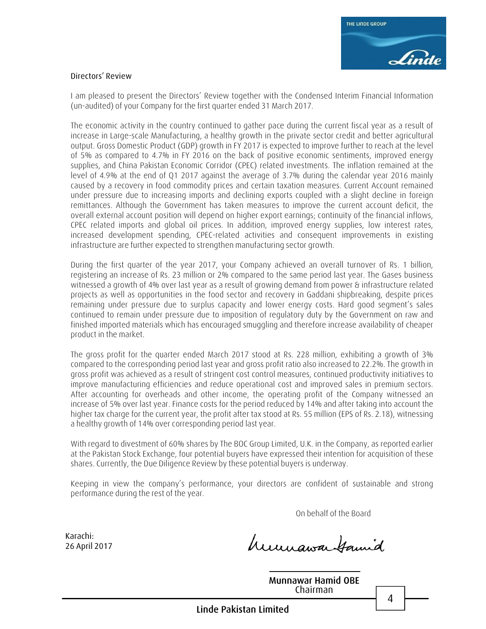

#### **Directors' Review**

I am pleased to present the Directors' Review together with the Condensed Interim Financial Information (un-audited) of your Company for the first quarter ended 31 March 2017.

The economic activity in the country continued to gather pace during the current fiscal year as a result of increase in Large-scale Manufacturing, a healthy growth in the private sector credit and better agricultural output. Gross Domestic Product (GDP) growth in FY 2017 is expected to improve further to reach at the level of 5% as compared to 4.7% in FY 2016 on the back of positive economic sentiments, improved energy supplies, and China Pakistan Economic Corridor (CPEC) related investments. The inflation remained at the level of 4.9% at the end of Q1 2017 against the average of 3.7% during the calendar year 2016 mainly caused by a recovery in food commodity prices and certain taxation measures. Current Account remained under pressure due to increasing imports and declining exports coupled with a slight decline in foreign remittances. Although the Government has taken measures to improve the current account deficit, the overall external account position will depend on higher export earnings; continuity of the financial inflows, CPEC related imports and global oil prices. In addition, improved energy supplies, low interest rates, increased development spending, CPEC-related activities and consequent improvements in existing infrastructure are further expected to strengthen manufacturing sector growth.

During the first quarter of the year 2017, your Company achieved an overall turnover of Rs. 1 billion, registering an increase of Rs. 23 million or 2% compared to the same period last year. The Gases business witnessed a growth of 4% over last year as a result of growing demand from power & infrastructure related projects as well as opportunities in the food sector and recovery in Gaddani shipbreaking, despite prices remaining under pressure due to surplus capacity and lower energy costs. Hard good segment's sales continued to remain under pressure due to imposition of regulatory duty by the Government on raw and finished imported materials which has encouraged smuggling and therefore increase availability of cheaper product in the market.

The gross profit for the quarter ended March 2017 stood at Rs. 228 million, exhibiting a growth of 3% compared to the corresponding period last year and gross profit ratio also increased to 22.2%. The growth in gross profit was achieved as a result of stringent cost control measures, continued productivity initiatives to improve manufacturing efficiencies and reduce operational cost and improved sales in premium sectors. After accounting for overheads and other income, the operating profit of the Company witnessed an increase of 5% over last year. Finance costs for the period reduced by 14% and after taking into account the higher tax charge for the current year, the profit after tax stood at Rs. 55 million (EPS of Rs. 2.18), witnessing a healthy growth of 14% over corresponding period last year.

With regard to divestment of 60% shares by The BOC Group Limited, U.K. in the Company, as reported earlier at the Pakistan Stock Exchange, four potential buyers have expressed their intention for acquisition of these shares. Currently, the Due Diligence Review by these potential buyers is underway.

Keeping in view the company's performance, your directors are confident of sustainable and strong performance during the rest of the year.

On behalf of the Board

**Karachi: 26 April 2017**

humawa Hamid

**Munnawar Hamid OBE** Chairman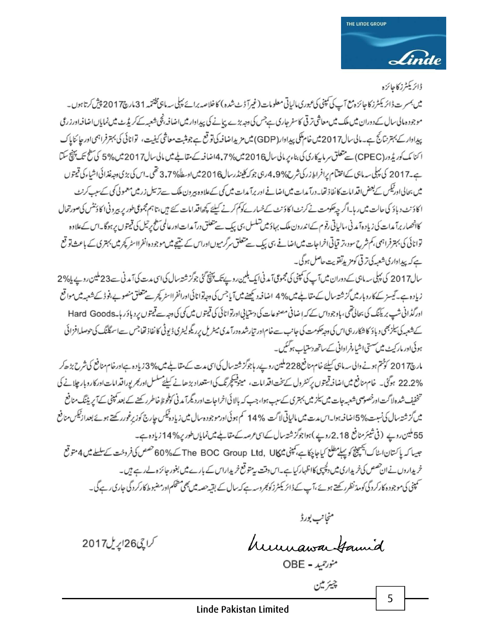### ڈائریکٹرز کاجائزہ

میں بمسر ت ڈائریکٹرز کاجائز ہ مع آپ کی کمپنی کی عبوری مالیاتی معلومات (غیرآ ڈٹ شدہ ) کاخلاصہ برائے پہلی سہ ماہی پختمہ 31 مارچ2017 پیش کرتا ہوں۔ موجودہ مالی سال کے دوران میں ملک میں معاشی ترقی کاسفر جاری ہے جس کی وجہ بڑے پیانے کی پیداوار میں اضافہ ٹچی شعبہ کے کریڈٹ میں نمایاں اضافہ اورزری پیدادارے بہترنتانج ہے۔مالی سال2017میں خام کمکی پیدادار(GDP) میں مزیداضافہ کی توقع ہے جومثبت معاشی کیفیت، توانائی کی بہترفراہمی اور جائنایاک ا كنا مك كوريڈ ور (CPEC) سے متعلق سر ماہيكارى كى بناء ير مالى سال 2016 ميں 7% 14 صافہ كے متعاملے ميں مالى سال2017 ميں %5 كى سطح تك پہنچ سكتا ہے۔2017 کی پہلی سہ ماہی کےافتتام پرافراط زرکی شرح%4.9 رہی جو کہ کلینڈرسال2016 میں اوسطاً%7.7 تھی۔اس کی بڑی دجہ غذائی اشیاء کی قیمتوں میں بحالی اورٹیکس کے بعض اقدامات کا نفاذ تھا۔درآ مدات میں اضافے اور برآ مدات میں کی کےعلاوہ بیرون ملک سے ترسیل زرمیں معمولی کی کےسب کرنٹ ا کاؤنٹ د باؤ کی حالت میں رہا۔اگر چیکومت نے کرنٹ اکاؤنٹ کےخسار کے کوکم کرنے کیلئے کچھاقدامات کئے ہیں،تاہم مجموعی طور پر ہیرونی اکاؤنٹس کی صورتحال کاخصار برآ مدات کی زیادہ آمد نی، مالیاتی رقوم کےاندرون ملک بہاؤ میں تسلسل ہی پیک سے متعلق درآ مدات اورعالمی سطح پرتیل کی قیمتوں پرہوگا۔اس کےعلاوہ توانائی کی بہترفراہمی، کم شرح سود،تر قیاتی اخراجات میں اضافے ہی پیک سے متعلق سرگرمیوں اوراس کے نتیجے میں موجود ہ انفر ااسٹر کچرمیں بہتری کے باعث تو قع ہے کہ پیداواری شعبہ کی تر قی کوم پدتھویت حاصل ہوگی۔

سال2017 کی پہلی سہ ماہی کے دوران میں آپ کی کمپنی کی مجموعی آمدنی ایک بلین روپے تک پنچ گئی جوگز شتہ سال کی اسی مدت کی آمدنی سے 23 ملین روپے پا% 2 زیادہ ہے۔گیسز کے کاروبار میں گزشتہ سال کے مقابلے میں % 4 اضافہ دیکھنے میں آیا جس کی دجہ توانائی اورانفرااسٹر کچر سے متعلق منصوبے،فوڈ کے شعبہ میں مواقع اورگڈانی شپ بریکنگ کی بحالی تھی، باوجوداس کے کہ اِ ضافی مصنوعات کی دستیابی اورتوانائی کی قیمتوں میں کی دجہ سے قیمتوں پر دباؤر ہاجے Hard Goods کے شعبہ کی بلز بھی دیاؤ کا شکاررہی اس کی وجہ حکومت کی جانب سے خام اور تیارشدہ درآ مدی میٹر لی پر ریگو لیٹری ڈیوٹی کا نفاذ تھا جس سے اسمگنگ کی حوصلہ افزائی ہوئی اور مارکیٹ میں سستی اشیاءفراوانی کے ساتھ دستیاب ہوگئیں۔

مارچ2017 کوشتم ہونے دالی سہ ماہی کیلئے خام منافع228 ملین روپے رہاجوگز شتہ سال کی اس مدت کے مقابلے میں %3 زیادہ ہےاورخام منافع کی شرح بڑھ کر 22.2% ہوگئی۔ خام منافع میںاضافہ قیمتوں پرکنٹرول کے پخت اقدامات، مینوفیکچرنگ کی استعداد بڑھانے کیلئے سلسل اور تجریوراقدامات اور کاروبار چلانے کی تخفیف شدہ لاگت اورخصوصی شعبہ جات میں بیلز میں بہتری کےسب ہوا، جب کہ بالا ئی اخراجات اور دیگرآ مدنی کوطوظ خاطرر کھنے کے بعد کمپنی کے آپریٹنگ منافع میں گزشتہ سال کی نسبت%5اضافہ ہوا۔اس مدت میں مالیاتی لاگت %14 کم ہوئی اورموجود ہسال میں زیادہ ٹیکس جارج کوزیرغورر کھتے ہوئے بعدا زئیکس منافع 55 ملین روپے (فی شیئر منافع 2.18 روپے)ہواجوگر شتہ سال کےاسی عرصہ کے مقابلے میں نمایاں طور پر%14 زیادہ ہے۔ جیسا کہ پاکستان اسٹاک پیچینج کو پہلے مطلع کیاجاچکاہے، کمپنی میں The BOC Group Ltd, UK کے 60% خصص کی فروخت کے سلسلے میں 4 متوقع خریداروں نے ان حصص کی خریداری میں دکچپیں کااظہار کیا ہے۔اس دقت پی<sup>متو</sup> قع خریداراس کے بارے میں بغور جائزہ لےرہے ہیں۔ سمپنی کی موجود ہ کارکردگی کومد نظرر کھتے ہوئے ،آپ کے ڈائریکٹرزکوٹجروسہ ہے کہ سال کے بقیہ حصہ میں بھی مشکم اورمضبوط کارکردگی جاری رہے گی۔

Linde Pakistan Limited

منجانب بورڈ

humawa Hamid

منورحمد - OBE

5

گراچی26اپریل2017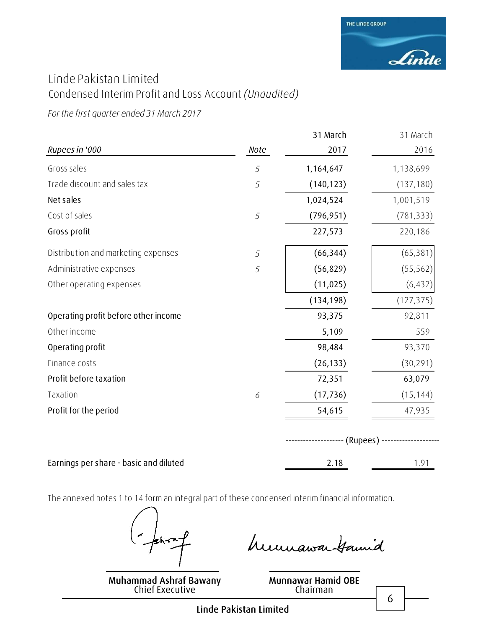

### Linde Pakistan Limited Condensed Interim Profit and Loss Account *(Unaudited)*

*For the first quarter ended 31 March 2017*

|                                        |      | 31 March   | 31 March   |
|----------------------------------------|------|------------|------------|
| Rupees in '000                         | Note | 2017       | 2016       |
| Gross sales                            | 5    | 1,164,647  | 1,138,699  |
| Trade discount and sales tax           | 5    | (140, 123) | (137, 180) |
| Net sales                              |      | 1,024,524  | 1,001,519  |
| Cost of sales                          | 5    | (796, 951) | (781, 333) |
| Gross profit                           |      | 227,573    | 220,186    |
| Distribution and marketing expenses    | 5    | (66, 344)  | (65, 381)  |
| Administrative expenses                | 5    | (56, 829)  | (55, 562)  |
| Other operating expenses               |      | (11, 025)  | (6, 432)   |
|                                        |      | (134, 198) | (127, 375) |
| Operating profit before other income   |      | 93,375     | 92,811     |
| Other income                           |      | 5,109      | 559        |
| Operating profit                       |      | 98,484     | 93,370     |
| Finance costs                          |      | (26, 133)  | (30, 291)  |
| Profit before taxation                 |      | 72,351     | 63,079     |
| Taxation                               | 6    | (17, 736)  | (15, 144)  |
| Profit for the period                  |      | 54,615     | 47,935     |
|                                        |      | (Rupees) - |            |
| Earnings per share - basic and diluted |      | 2.18       | 1.91       |

The annexed notes 1 to 14 form an integral part of these condensed interim financial information.

**Muhammad Ashraf Bawany** Chief Executive

humawa tamid

**Munnawar Hamid OBE** Chairman

6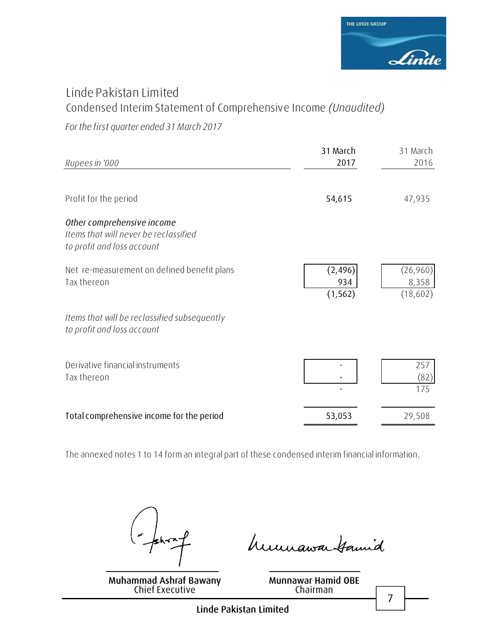

### Linde Pakistan Limited Condensed Interim Statement of Comprehensive Income *(Unaudited)*

*For the first quarter ended 31 March 2017*

| Rupees in '000                                                                                    | 31 March<br>2017            | 31 March<br>2016              |
|---------------------------------------------------------------------------------------------------|-----------------------------|-------------------------------|
| Profit for the period                                                                             | 54,615                      | 47,935                        |
| Other comprehensive income<br>Items that will never be reclassified<br>to profit and loss account |                             |                               |
| Net re-measurement on defined benefit plans<br>Tax thereon                                        | (2, 496)<br>934<br>(1, 562) | (26,960)<br>8,358<br>(18,602) |
| Items that will be reclassified subsequently<br>to profit and loss account                        |                             |                               |
| Derivative financial instruments<br>Tax thereon                                                   |                             | 257<br>(82)<br>175            |
| Total comprehensive income for the period                                                         | 53,053                      | 29,508                        |

The annexed notes 1 to 14 form an integral part of these condensed interim financial information.

**Muhammad Ashraf Bawany** Chief Executive

humawa tamid

**Munnawar Hamid OBE** Chairman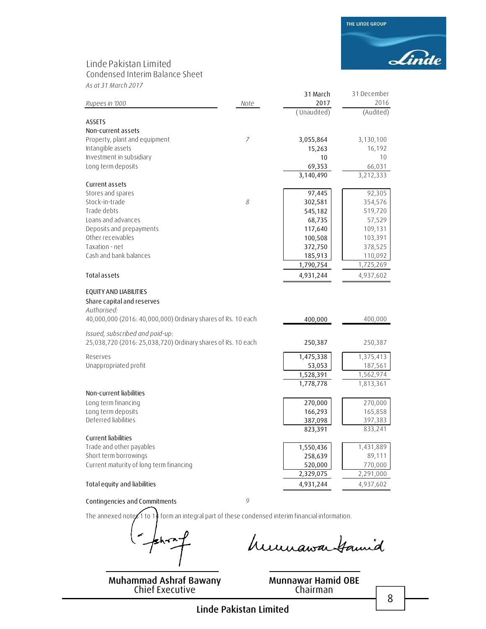### Linde Pakistan Limited

Condensed Interim Balance Sheet

*As at 31 March 2017*

|                                                                                                                                     |                | 31 March    | 31 December |
|-------------------------------------------------------------------------------------------------------------------------------------|----------------|-------------|-------------|
| Rupees in '000                                                                                                                      | Note           | 2017        | 2016        |
|                                                                                                                                     |                | (Unaudited) | (Audited)   |
| <b>ASSETS</b>                                                                                                                       |                |             |             |
| Non-current assets                                                                                                                  |                |             |             |
| Property, plant and equipment                                                                                                       | $\overline{7}$ | 3,055,864   | 3,130,100   |
| Intangible assets                                                                                                                   |                | 15,263      | 16,192      |
| Investment in subsidiary                                                                                                            |                | 10          | 10          |
| Long term deposits                                                                                                                  |                | 69,353      | 66,031      |
|                                                                                                                                     |                | 3,140,490   | 3,212,333   |
| Current assets                                                                                                                      |                |             |             |
| Stores and spares                                                                                                                   |                | 97,445      | 92,305      |
| Stock-in-trade                                                                                                                      | 8              | 302,581     | 354,576     |
| Trade debts                                                                                                                         |                | 545,182     | 519,720     |
| Loans and advances                                                                                                                  |                | 68,735      | 57,529      |
| Deposits and prepayments                                                                                                            |                | 117,640     | 109,131     |
| Other receivables                                                                                                                   |                | 100,508     | 103,391     |
| Taxation - net                                                                                                                      |                | 372,750     | 378,525     |
| Cash and bank balances                                                                                                              |                | 185,913     | 110,092     |
|                                                                                                                                     |                | 1,790,754   | 1,725,269   |
| Total assets                                                                                                                        |                | 4,931,244   | 4,937,602   |
| EQUITY AND LIABILITIES<br>Share capital and reserves<br>Authorised:<br>40,000,000 (2016: 40,000,000) Ordinary shares of Rs. 10 each |                | 400,000     | 400,000     |
| Issued, subscribed and paid-up:<br>25,038,720 (2016: 25,038,720) Ordinary shares of Rs. 10 each                                     |                | 250,387     | 250,387     |
| Reserves                                                                                                                            |                | 1,475,338   | 1,375,413   |
| Unappropriated profit                                                                                                               |                | 53,053      | 187,561     |
|                                                                                                                                     |                | 1,528,391   | 1,562,974   |
|                                                                                                                                     |                | 1,778,778   | 1,813,361   |
| Non-current liabilities                                                                                                             |                |             |             |
| Long term financing                                                                                                                 |                | 270,000     | 270,000     |
| Long term deposits                                                                                                                  |                | 166,293     | 165,858     |
| Deferred liabilities                                                                                                                |                | 387,098     | 397,383     |
|                                                                                                                                     |                | 823,391     | 833,241     |
| Current liabilities                                                                                                                 |                |             |             |
| Trade and other payables                                                                                                            |                | 1,550,436   | 1,431,889   |
| Short term borrowings                                                                                                               |                | 258,639     | 89,111      |
| Current maturity of long term financing                                                                                             |                | 520,000     | 770,000     |
|                                                                                                                                     |                | 2,329,075   | 2,291,000   |
| Total equity and liabilities                                                                                                        |                | 4,931,244   | 4,937,602   |
|                                                                                                                                     |                |             |             |

**Contingencies and Commitments** *9*

The annexed notes 1 to 14 form an integral part of these condensed interim financial information.

**Muhammad Ashraf Bawany**

Chief Executive

**Munnawar Hamid OBE** Chairman

humawa Gamid

8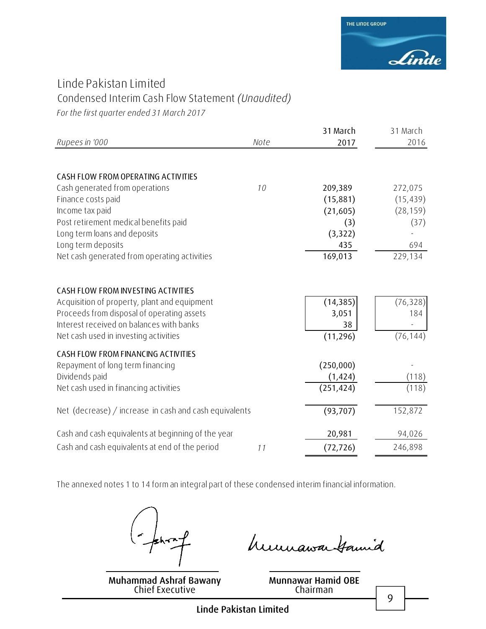

### Linde Pakistan Limited Condensed Interim Cash Flow Statement *(Unaudited)*

*For the first quarter ended 31 March 2017*

|                                                        |      | 31 March   | 31 March  |
|--------------------------------------------------------|------|------------|-----------|
| Rupees in '000                                         | Note | 2017       | 2016      |
|                                                        |      |            |           |
| CASH FLOW FROM OPERATING ACTIVITIES                    |      |            |           |
| Cash generated from operations                         | 10   | 209,389    | 272,075   |
| Finance costs paid                                     |      | (15,881)   | (15, 439) |
| Income tax paid                                        |      | (21,605)   | (28, 159) |
| Post retirement medical benefits paid                  |      | (3)        | (37)      |
| Long term loans and deposits                           |      | (3, 322)   |           |
| Long term deposits                                     |      | 435        | 694       |
| Net cash generated from operating activities           |      | 169,013    | 229,134   |
|                                                        |      |            |           |
| CASH FLOW FROM INVESTING ACTIVITIES                    |      |            |           |
| Acquisition of property, plant and equipment           |      | (14, 385)  | (76, 328) |
| Proceeds from disposal of operating assets             |      | 3,051      | 184       |
| Interest received on balances with banks               |      | 38         |           |
| Net cash used in investing activities                  |      | (11, 296)  | (76, 144) |
| CASH FLOW FROM FINANCING ACTIVITIES                    |      |            |           |
| Repayment of long term financing                       |      | (250,000)  |           |
| Dividends paid                                         |      | (1, 424)   | (118)     |
| Net cash used in financing activities                  |      | (251, 424) | (118)     |
| Net (decrease) / increase in cash and cash equivalents |      | (93, 707)  | 152,872   |
| Cash and cash equivalents at beginning of the year     |      | 20,981     | 94,026    |
| Cash and cash equivalents at end of the period         | 11   | (72, 726)  | 246,898   |

The annexed notes 1 to 14 form an integral part of these condensed interim financial information.

 $\mathbf{A}^*$ 

**Muhammad Ashraf Bawany** Chief Executive

humawa tamid

**Munnawar Hamid OBE** Chairman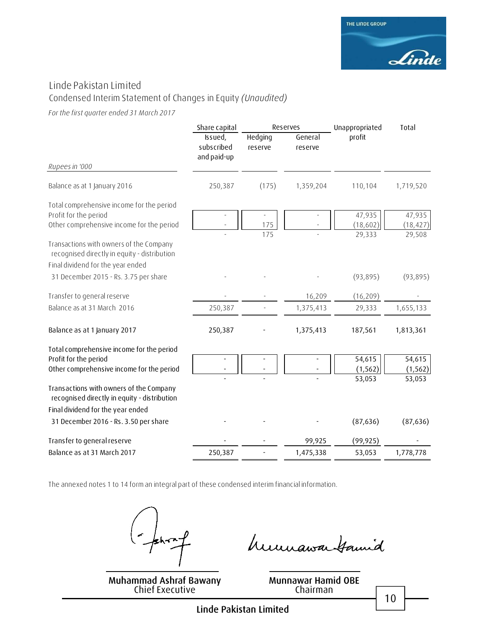### Linde Pakistan Limited

### Condensed Interim Statement of Changes in Equity *(Unaudited)*

*For the first quarter ended 31 March 2017*

|                                                                                                                              | Share capital                        | Reserves           |                    | Total<br>Unappropriated         |                    |
|------------------------------------------------------------------------------------------------------------------------------|--------------------------------------|--------------------|--------------------|---------------------------------|--------------------|
| Rupees in '000                                                                                                               | Issued,<br>subscribed<br>and paid-up | Hedging<br>reserve | General<br>reserve | profit                          |                    |
|                                                                                                                              |                                      |                    |                    |                                 |                    |
| Balance as at 1 January 2016                                                                                                 | 250,387                              | (175)              | 1,359,204          | 110,104                         | 1,719,520          |
| Total comprehensive income for the period                                                                                    |                                      |                    |                    |                                 |                    |
| Profit for the period                                                                                                        |                                      |                    |                    | 47,935                          | 47,935             |
| Other comprehensive income for the period                                                                                    |                                      | 175                |                    | (18, 602)                       | (18, 427)          |
| Transactions with owners of the Company<br>recognised directly in equity - distribution                                      |                                      | 175                |                    | 29,333                          | 29,508             |
| Final dividend for the year ended                                                                                            |                                      |                    |                    |                                 |                    |
| 31 December 2015 - Rs. 3.75 per share                                                                                        |                                      |                    |                    | (93, 895)                       | (93, 895)          |
| Transfer to general reserve                                                                                                  |                                      |                    | 16,209             | (16, 209)                       |                    |
| Balance as at 31 March 2016                                                                                                  | 250,387                              |                    | 1,375,413          | 29,333                          | 1,655,133          |
| Balance as at 1 January 2017                                                                                                 | 250,387                              |                    | 1,375,413          | 187,561                         | 1,813,361          |
| Total comprehensive income for the period                                                                                    |                                      |                    |                    |                                 |                    |
| Profit for the period                                                                                                        |                                      |                    |                    | 54,615                          | 54,615             |
| Other comprehensive income for the period                                                                                    |                                      |                    |                    | (1, 562)<br>$\overline{53,053}$ | (1, 562)<br>53,053 |
| Transactions with owners of the Company<br>recognised directly in equity - distribution<br>Final dividend for the year ended |                                      |                    |                    |                                 |                    |
| 31 December 2016 - Rs. 3.50 per share                                                                                        |                                      |                    |                    | (87, 636)                       | (87, 636)          |
| Transfer to general reserve                                                                                                  |                                      |                    | 99,925             | (99, 925)                       |                    |
| Balance as at 31 March 2017                                                                                                  | 250,387                              |                    | 1,475,338          | 53,053                          | 1,778,778          |
|                                                                                                                              |                                      |                    |                    |                                 |                    |

The annexed notes 1 to 14 form an integral part of these condensed interim financial information.

 $hr^{-1}$ 

**Muhammad Ashraf Bawany** Chief Executive

humawa tamid

**Munnawar Hamid OBE** Chairman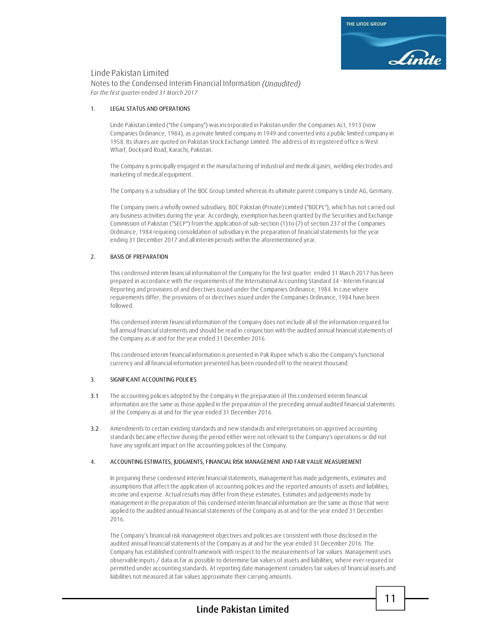#### Linde Pakistan Limited

Notes to the Condensed Interim Financial Information *(Unaudited) For the first quarter ended 31 March 2017*

#### **1. LEGAL STATUS AND OPERATIONS**

Linde Pakistan Limited ("the Company") was incorporated in Pakistan under the Companies Act, 1913 (now Companies Ordinance, 1984), as a private limited company in 1949 and converted into a public limited company in 1958. Its shares are quoted on Pakistan Stock Exchange Limited. The address of its registered office is West Wharf, Dockyard Road, Karachi, Pakistan.

The Company is principally engaged in the manufacturing of industrial and medical gases, welding electrodes and marketing of medical equipment.

The Company is a subsidiary of The BOC Group Limited whereas its ultimate parent company is Linde AG, Germany.

The Company owns a wholly owned subsidiary, BOC Pakistan (Private) Limited ("BOCPL"), which has not carried out any business activities during the year. Accordingly, exemption has been granted by the Securities and Exchange Commission of Pakistan ("SECP") from the application of sub-section (1) to (7) of section 237 of the Companies Ordinance, 1984 requiring consolidation of subsidiary in the preparation of financial statements for the year ending 31 December 2017 and all interim periods within the aforementioned year.

#### **2. BASIS OF PREPARATION**

This condensed interim financial information of the Company for the first quarter ended 31 March 2017 has been prepared in accordance with the requirements of the International Accounting Standard 34 - Interim Financial Reporting and provisions of and directives issued under the Companies Ordinance, 1984. In case where requirements differ, the provisions of or directives issued under the Companies Ordinance, 1984 have been followed.

This condensed interim financial information of the Company does not include all of the information required for full annual financial statements and should be read in conjunction with the audited annual financial statements of the Company as at and for the year ended 31 December 2016.

This condensed interim financial information is presented in Pak Rupee which is also the Company's functional currency and all financial information presented has been rounded off to the nearest thousand.

#### **3. SIGNIFICANT ACCOUNTING POLICIES**

- **3.1** The accounting policies adopted by the Company in the preparation of this condensed interim financial information are the same as those applied in the preparation of the preceding annual audited financial statements of the Company as at and for the year ended 31 December 2016.
- **3.2** Amendments to certain existing standards and new standards and interpretations on approved accounting standards became effective during the period either were not relevant to the Company's operations or did not have any significant impact on the accounting policies of the Company.

#### **4. ACCOUNTING ESTIMATES, JUDGMENTS, FINANCIAL RISK MANAGEMENT AND FAIR VALUE MEASUREMENT**

In preparing these condensed interim financial statements, management has made judgements, estimates and assumptions that affect the application of accounting policies and the reported amounts of assets and liabilities, income and expense. Actual results may differ from these estimates. Estimates and judgements made by management in the preparation of this condensed interim financial information are the same as those that were applied to the audited annual financial statements of the Company as at and for the year ended 31 December 2016.

**Muhammad Ashraf Bawany** liabilities not measured at fair values approximate their carrying amounts.**Munday Munday Munday Munday** The Company's financial risk management objectives and policies are consistent with those disclosed in the audited annual financial statements of the Company as at and for the year ended 31 December 2016. The Company has established control framework with respect to the measurements of fair values. Management uses observable inputs / data as far as possible to determine fair values of assets and liabilities, where ever required or permitted under accounting standards. At reporting date management considers fair values of financial assets and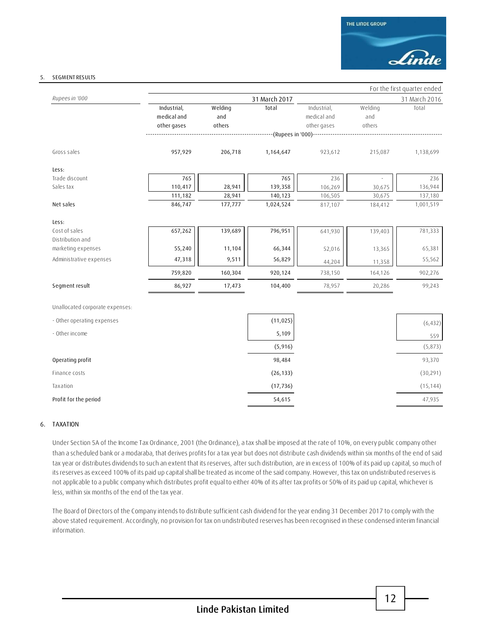#### **5. SEGMENT RESULTS**

|                                 |                                           |                          |                           |                                           |                          | For the first quarter ended |
|---------------------------------|-------------------------------------------|--------------------------|---------------------------|-------------------------------------------|--------------------------|-----------------------------|
| Rupees in '000                  |                                           |                          | 31 March 2017             |                                           |                          | 31 March 2016               |
|                                 | Industrial,<br>medical and<br>other gases | Welding<br>and<br>others | Total                     | Industrial,<br>medical and<br>other gases | Welding<br>and<br>others | Total                       |
|                                 |                                           |                          | --(Rupees in '000)------- |                                           |                          |                             |
| Gross sales                     | 957,929                                   | 206,718                  | 1,164,647                 | 923,612                                   | 215,087                  | 1,138,699                   |
| Less:                           |                                           |                          |                           |                                           |                          |                             |
| Trade discount                  | 765                                       |                          | 765                       | 236                                       |                          | 236                         |
| Sales tax                       | 110,417                                   | 28,941                   | 139,358                   | 106,269                                   | 30,675                   | 136,944                     |
|                                 | 111,182                                   | 28,941                   | 140,123                   | 106,505                                   | 30,675                   | 137,180                     |
| Net sales                       | 846,747                                   | 177,777                  | 1,024,524                 | 817,107                                   | 184,412                  | 1,001,519                   |
| Less:                           |                                           |                          |                           |                                           |                          |                             |
| Cost of sales                   | 657,262                                   | 139,689                  | 796,951                   | 641,930                                   | 139,403                  | 781,333                     |
| Distribution and                |                                           |                          |                           |                                           |                          |                             |
| marketing expenses              | 55,240                                    | 11,104                   | 66,344                    | 52,016                                    | 13,365                   | 65,381                      |
| Administrative expenses         | 47,318                                    | 9,511                    | 56,829                    | 44,204                                    | 11,358                   | 55,562                      |
|                                 | 759,820                                   | 160,304                  | 920,124                   | 738,150                                   | 164,126                  | 902,276                     |
| Segment result                  | 86,927                                    | 17,473                   | 104,400                   | 78,957                                    | 20,286                   | 99,243                      |
| Unallocated corporate expenses: |                                           |                          |                           |                                           |                          |                             |
| - Other operating expenses      |                                           |                          | (11, 025)                 |                                           |                          | (6, 432)                    |
| - Other income                  |                                           |                          | 5,109                     |                                           |                          | 559                         |
|                                 |                                           |                          | (5,916)                   |                                           |                          | (5,873)                     |
| Operating profit                |                                           |                          | 98,484                    |                                           |                          | 93,370                      |
| Finance costs                   |                                           |                          | (26, 133)                 |                                           |                          | (30, 291)                   |
| Taxation                        |                                           |                          | (17, 736)                 |                                           |                          | (15, 144)                   |
| Profit for the period           |                                           |                          | 54,615                    |                                           |                          | 47,935                      |

#### **6. TAXATION**

Under Section 5A of the Income Tax Ordinance, 2001 (the Ordinance), a tax shall be imposed at the rate of 10%, on every public company other than a scheduled bank or a modaraba, that derives profits for a tax year but does not distribute cash dividends within six months of the end of said tax year or distributes dividends to such an extent that its reserves, after such distribution, are in excess of 100% of its paid up capital, so much of its reserves as exceed 100% of its paid up capital shall be treated as income of the said company. However, this tax on undistributed reserves is not applicable to a public company which distributes profit equal to either 40% of its after tax profits or 50% of its paid up capital, whichever is less, within six months of the end of the tax year.

The Board of Directors of the Company intends to distribute sufficient cash dividend for the year ending 31 December 2017 to comply with the above stated requirement. Accordingly, no provision for tax on undistributed reserves has been recognised in these condensed interim financial information.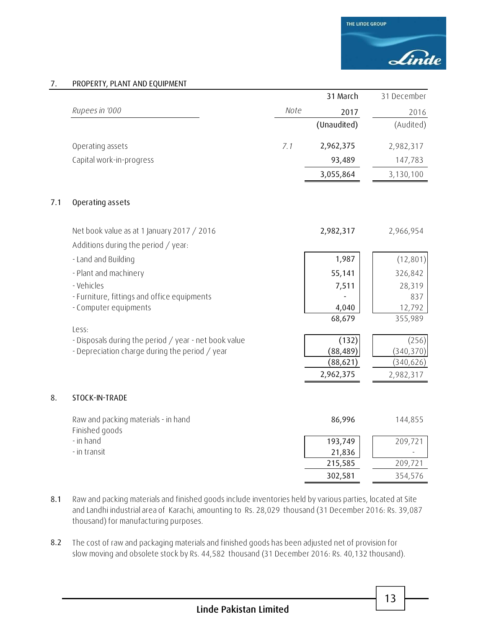#### **7. PROPERTY, PLANT AND EQUIPMENT**

|     |                                                                                   |      | 31 March          | 31 December |
|-----|-----------------------------------------------------------------------------------|------|-------------------|-------------|
|     | Rupees in '000                                                                    | Note | 2017              | 2016        |
|     |                                                                                   |      | (Unaudited)       | (Audited)   |
|     | Operating assets                                                                  | 7.1  | 2,962,375         | 2,982,317   |
|     | Capital work-in-progress                                                          |      | 93,489            | 147,783     |
|     |                                                                                   |      | 3,055,864         | 3,130,100   |
| 7.1 | Operating assets                                                                  |      |                   |             |
|     | Net book value as at 1 January 2017 / 2016<br>Additions during the period / year: |      | 2,982,317         | 2,966,954   |
|     | - Land and Building                                                               |      | 1,987             | (12, 801)   |
|     | - Plant and machinery                                                             |      | 55,141            | 326,842     |
|     | - Vehicles                                                                        |      | 7,511             | 28,319      |
|     | - Furniture, fittings and office equipments                                       |      |                   | 837         |
|     | - Computer equipments                                                             |      | 4,040             | 12,792      |
|     | Less:                                                                             |      | 68,679            | 355,989     |
|     | - Disposals during the period / year - net book value                             |      | (132)             | (256)       |
|     | - Depreciation charge during the period / year                                    |      | (88, 489)         | (340, 370)  |
|     |                                                                                   |      | (88, 621)         | (340, 626)  |
|     |                                                                                   |      | 2,962,375         | 2,982,317   |
| 8.  | STOCK-IN-TRADE                                                                    |      |                   |             |
|     | Raw and packing materials - in hand                                               |      | 86,996            | 144,855     |
|     | Finished goods                                                                    |      |                   |             |
|     | - in hand<br>- in transit                                                         |      | 193,749<br>21,836 | 209,721     |
|     |                                                                                   |      | 215,585           | 209,721     |
|     |                                                                                   |      | 302,581           | 354,576     |

**8.1** Raw and packing materials and finished goods include inventories held by various parties, located at Site and Landhi industrial area of Karachi, amounting to Rs. 28,029 thousand (31 December 2016: Rs. 39,087 thousand) for manufacturing purposes.

**8.2** The cost of raw and packaging materials and finished goods has been adjusted net of provision for slow moving and obsolete stock by Rs. 44,582 thousand (31 December 2016: Rs. 40,132 thousand).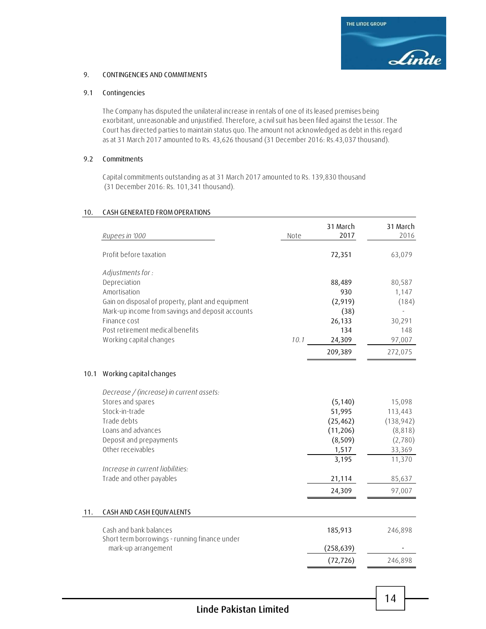

#### **9. CONTINGENCIES AND COMMITMENTS**

#### **9.1 Contingencies**

The Company has disputed the unilateral increase in rentals of one of its leased premises being exorbitant, unreasonable and unjustified. Therefore, a civil suit has been filed against the Lessor. The Court has directed parties to maintain status quo. The amount not acknowledged as debt in this regard as at 31 March 2017 amounted to Rs. 43,626 thousand (31 December 2016: Rs.43,037 thousand).

#### **9.2 Commitments**

Capital commitments outstanding as at 31 March 2017 amounted to Rs. 139,830 thousand (31 December 2016: Rs. 101,341 thousand).

#### **10. CASH GENERATED FROM OPERATIONS**

|      | Rupees in '000                                                       | Note | 31 March<br>2017 | 31 March<br>2016 |
|------|----------------------------------------------------------------------|------|------------------|------------------|
|      | Profit before taxation                                               |      | 72,351           | 63,079           |
|      | Adjustments for:                                                     |      |                  |                  |
|      | Depreciation                                                         |      | 88,489           | 80,587           |
|      | Amortisation                                                         |      | 930              | 1,147            |
|      | Gain on disposal of property, plant and equipment                    |      | (2,919)          | (184)            |
|      | Mark-up income from savings and deposit accounts                     |      | (38)             |                  |
|      | Finance cost                                                         |      | 26,133           | 30,291           |
|      | Post retirement medical benefits                                     |      | 134              | 148              |
|      | Working capital changes                                              | 10.1 | 24,309           | 97,007           |
|      |                                                                      |      | 209,389          | 272,075          |
| 10.1 | Working capital changes                                              |      |                  |                  |
|      | Decrease / (increase) in current assets:                             |      |                  |                  |
|      | Stores and spares                                                    |      | (5, 140)         | 15,098           |
|      | Stock-in-trade                                                       |      | 51,995           | 113,443          |
|      | Trade debts                                                          |      | (25, 462)        | (138, 942)       |
|      | Loans and advances                                                   |      | (11, 206)        | (8, 818)         |
|      | Deposit and prepayments                                              |      | (8, 509)         | (2,780)          |
|      | Other receivables                                                    |      | 1,517            | 33,369           |
|      |                                                                      |      | 3,195            | 11,370           |
|      | Increase in current liabilities:                                     |      |                  |                  |
|      | Trade and other payables                                             |      | 21,114           | 85,637           |
|      |                                                                      |      | 24,309           | 97,007           |
| 11.  | CASH AND CASH EQUIVALENTS                                            |      |                  |                  |
|      | Cash and bank balances                                               |      | 185,913          | 246,898          |
|      | Short term borrowings - running finance under<br>mark-up arrangement |      | (258, 639)       |                  |
|      |                                                                      |      |                  |                  |
|      |                                                                      |      | (72, 726)        | 246,898          |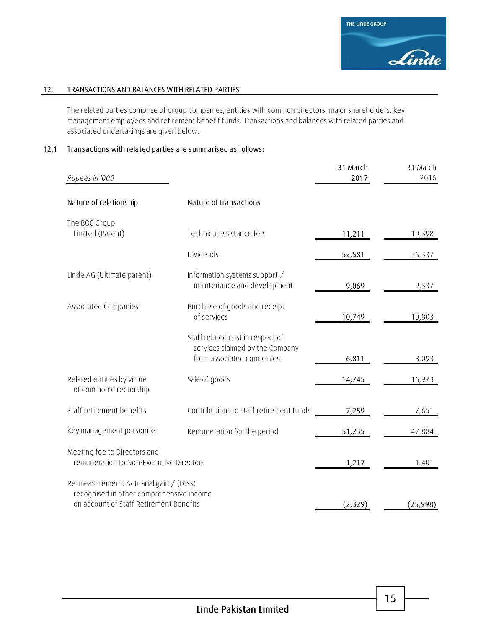

#### **12. TRANSACTIONS AND BALANCES WITH RELATED PARTIES**

The related parties comprise of group companies, entities with common directors, major shareholders, key management employees and retirement benefit funds. Transactions and balances with related parties and associated undertakings are given below:

#### **12.1 Transactions with related parties are summarised as follows:**

| Rupees in '000                                                                                                                 |                                                                                                  | 31 March<br>2017 | 31 March<br>2016 |
|--------------------------------------------------------------------------------------------------------------------------------|--------------------------------------------------------------------------------------------------|------------------|------------------|
| Nature of relationship                                                                                                         | Nature of transactions                                                                           |                  |                  |
| The BOC Group<br>Limited (Parent)                                                                                              | Technical assistance fee                                                                         | 11,211           | 10,398           |
|                                                                                                                                | Dividends                                                                                        | 52,581           | 56,337           |
| Linde AG (Ultimate parent)                                                                                                     | Information systems support /<br>maintenance and development                                     | 9,069            | 9,337            |
| Associated Companies                                                                                                           | Purchase of goods and receipt<br>of services                                                     | 10,749           | 10,803           |
|                                                                                                                                | Staff related cost in respect of<br>services claimed by the Company<br>from associated companies | 6,811            | 8,093            |
| Related entities by virtue<br>of common directorship                                                                           | Sale of goods                                                                                    | 14,745           | 16,973           |
| Staff retirement benefits                                                                                                      | Contributions to staff retirement funds                                                          | 7,259            | 7,651            |
| Key management personnel                                                                                                       | Remuneration for the period                                                                      | 51,235           | 47,884           |
| Meeting fee to Directors and<br>remuneration to Non-Executive Directors                                                        |                                                                                                  | 1,217            | 1,401            |
| Re-measurement: Actuarial gain / (Loss)<br>recognised in other comprehensive income<br>on account of Staff Retirement Benefits |                                                                                                  | (2,329)          | (25,998)         |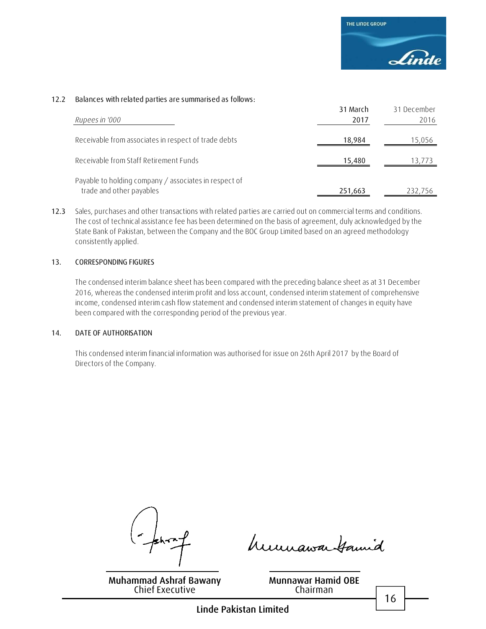#### **12.2 Balances with related parties are summarised as follows:**

| Rupees in '000                                                                    | 31 March<br>2017 | 31 December<br>2016 |
|-----------------------------------------------------------------------------------|------------------|---------------------|
| Receivable from associates in respect of trade debts                              | 18,984           | 15,056              |
| Receivable from Staff Retirement Funds                                            | 15,480           | 13,773              |
| Payable to holding company / associates in respect of<br>trade and other payables | 251,663          | 232,756             |

**12.3** Sales, purchases and other transactions with related parties are carried out on commercial terms and conditions. The cost of technical assistance fee has been determined on the basis of agreement, duly acknowledged by the State Bank of Pakistan, between the Company and the BOC Group Limited based on an agreed methodology consistently applied.

#### **13. CORRESPONDING FIGURES**

The condensed interim balance sheet has been compared with the preceding balance sheet as at 31 December 2016, whereas the condensed interim profit and loss account, condensed interim statement of comprehensive income, condensed interim cash flow statement and condensed interim statement of changes in equity have been compared with the corresponding period of the previous year.

#### **14. DATE OF AUTHORISATION**

This condensed interim financial information was authorised for issue on 26th April 2017 by the Board of Directors of the Company.

humawa Hamid

**Muhammad Ashraf Bawany** Chief Executive

**Munnawar Hamid OBE** Chairman

16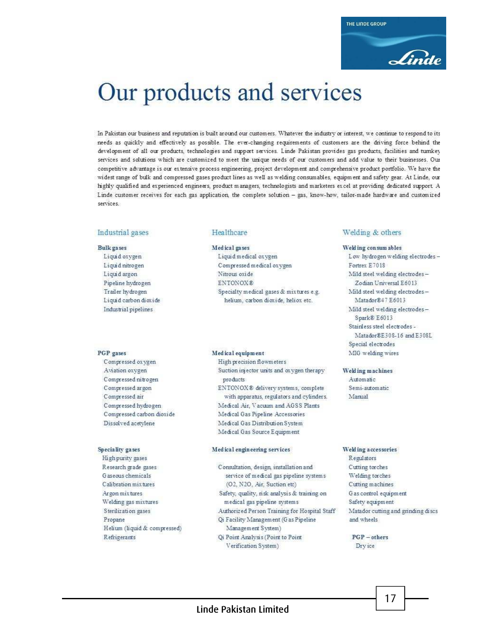

# Our products and services

In Pakistan our business and reputation is built around our customers. Whatever the industry or interest, we continue to respond to its needs as quickly and effectively as possible. The ever-changing requirements of customers are the driving force behind the development of all our products, technologies and support services. Linde Pakistan provides gas products, facilities and turnkey services and solutions which are customized to meet the unique needs of our customers and add value to their businesses. Our competitive advantage is our extensive process engineering, project development and comprehensive product portfolio. We have the widest range of bulk and compressed gases product lines as well as welding consumables, equipment and safety gear. At Linde, our highly qualified and experienced engineers, product managers, technologists and marketers excel at providing dedicated support. A Linde customer receives for each gas application, the complete solution - gas, know-how, tailor-made hardware and customized services

#### Industrial gases

#### **Bulk** gases

Liquid oxygen Liquid nitrogen Liquid argon Pipeline hydrogen Trailer hydrogen Liquid carbon dioxide Industrial pipelines

#### PGP gases

Compressed oxygen Aviation oxygen Compressed nitrogen Compressed argon Compressed air Compressed hydrogen Compressed carbon dioxide Dissolved acetylene

#### Speciality gases

High purity gases Research grade gases Gaseous chemicals Calibration mix tures Argon mix tures Welding gas mixtures Sterilization gases Propane Helium (liquid & compressed) Refrigerants

#### Healthcare

#### Medical gases

Liquid medical oxygen Compressed medical oxygen Nitrous oxide **ENTONOX®** Specialty medical gases & mixtures e.g. helium, carbon dioxide, heliox etc.

#### Medical equipment

High precision flowmeters Suction injector units and oxygen therapy products ENTONOX® delivery systems, complete with apparatus, regulators and cylinders. Medical Air, Vacuum and AGSS Plants Medical Gas Pipeline Accessories Medical Gas Distribution System Medical Gas Source Equipment

#### Medical engineering services

- Consultation, design, installation and service of medical gas pipeline systems (O2, N2O, Air, Suction etc) Safety, quality, risk analysis & training on medical gas pipeline systems Authorized Person Training for Hospital Staff Qi Facility Management (G as Pipeline Management System)
	- Qi Point Analysis (Point to Point Verification System)

#### Welding & others

#### Welding consum ables

Low hydrogen welding electrodes -Fortrex E7018 Mild steel welding electrodes-Zodian Universal E6013 Mild steel welding electrodes-Matador®47 E6013 Mild steel welding electrodes-Spark® E6013 Stainless steel electrodes -Matador®E308-16 and E308L Special electrodes MIG welding wires

#### Welding machines Automatic

Semi-automatic Manual

#### Welding accessories

Regulators Cutting torches Welding torches Cutting machines G as control equipment Safety equipment Matador cutting and grinding discs and wheels

 $17$ 

 $PGP - others$ Dry ice